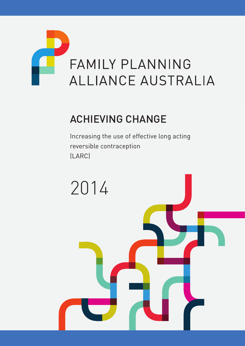

# Achieving Change

Increasing the use of effective long acting reversible contraception (LARC)

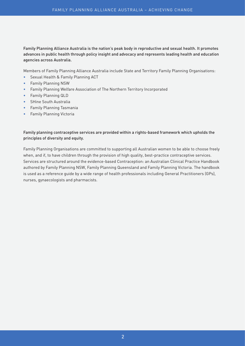#### Family Planning Alliance Australia is the nation's peak body in reproductive and sexual health. It promotes advances in public health through policy insight and advocacy and represents leading health and education agencies across Australia.

Members of Family Planning Alliance Australia include State and Territory Family Planning Organisations:

- Sexual Health & Family Planning ACT
- Family Planning NSW
- Family Planning Welfare Association of The Northern Territory Incorporated
- Family Planning QLD
- SHine South Australia
- Family Planning Tasmania
- Family Planning Victoria

#### Family planning contraceptive services are provided within a rights-based framework which upholds the principles of diversity and equity.

Family Planning Organisations are committed to supporting all Australian women to be able to choose freely when, and if, to have children through the provision of high quality, best-practice contraceptive services. Services are structured around the evidence-based Contraception: an Australian Clinical Practice Handbook authored by Family Planning NSW, Family Planning Queensland and Family Planning Victoria. The handbook is used as a reference guide by a wide range of health professionals including General Practitioners (GPs), nurses, gynaecologists and pharmacists.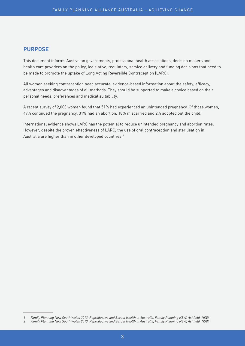## **Purpose**

This document informs Australian governments, professional health associations, decision makers and health care providers on the policy, legislative, regulatory, service delivery and funding decisions that need to be made to promote the uptake of Long Acting Reversible Contraception (LARC).

All women seeking contraception need accurate, evidence-based information about the safety, efficacy, advantages and disadvantages of all methods. They should be supported to make a choice based on their personal needs, preferences and medical suitability.

A recent survey of 2,000 women found that 51% had experienced an unintended pregnancy. Of those women, 49% continued the pregnancy, 31% had an abortion, 18% miscarried and 2% adopted out the child.1

International evidence shows LARC has the potential to reduce unintended pregnancy and abortion rates. However, despite the proven effectiveness of LARC, the use of oral contraception and sterilisation in Australia are higher than in other developed countries.<sup>2</sup>

<sup>1</sup> Family Planning New South Wales 2013, Reproductive and Sexual Health in Australia, Family Planning NSW, Ashfield, NSW.

<sup>2</sup> Family Planning New South Wales 2013, Reproductive and Sexual Health in Australia, Family Planning NSW, Ashfield, NSW.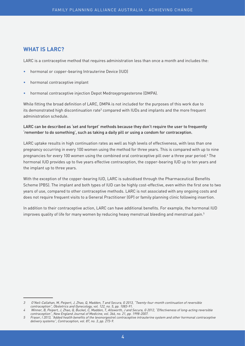# **What is LARC?**

LARC is a contraceptive method that requires administration less than once a month and includes the:

- hormonal or copper-bearing Intrauterine Device (IUD)
- hormonal contraceptive implant
- hormonal contraceptive injection Depot Medroxyprogesterone (DMPA).

While fitting the broad definition of LARC, DMPA is not included for the purposes of this work due to its demonstrated high discontinuation rate $^{\rm 3}$  compared with IUDs and implants and the more frequent administration schedule.

#### LARC can be described as 'set and forget' methods because they don't require the user to frequently 'remember to do something', such as taking a daily pill or using a condom for contraception.

LARC uptake results in high continuation rates as well as high levels of effectiveness, with less than one pregnancy occurring in every 100 women using the method for three years. This is compared with up to nine pregnancies for every 100 women using the combined oral contraceptive pill over a three year period.<sup>4</sup> The hormonal IUD provides up to five years effective contraception, the copper-bearing IUD up to ten years and the implant up to three years.

With the exception of the copper-bearing IUD, LARC is subsidised through the Pharmaceutical Benefits Scheme (PBS). The implant and both types of IUD can be highly cost-effective, even within the first one to two years of use, compared to other contraceptive methods. LARC is not associated with any ongoing costs and does not require frequent visits to a General Practitioner (GP) or family planning clinic following insertion.

In addition to their contraceptive action, LARC can have additional benefits. For example, the hormonal IUD improves quality of life for many women by reducing heavy menstrual bleeding and menstrual pain.<sup>5</sup>

<sup>3</sup> O'Neil-Callahan, M, Peipert, J, Zhao, Q, Madden, T and Secura, G 2013, "Twenty-four-month continuation of reversible contraception", Obstetrics and Gynecology, vol. 122, no. 5, pp. 1083-91.

<sup>4</sup> Winner, B, Peipert, J, Zhao, Q, Buckel, C, Madden, T, Allsworth, J and Secura, G 2012, "Effectiveness of long-acting reversible contraception", New England Journal of Medicine, vol. 366, no. 21, pp. 1998-2007.

<sup>5</sup> Fraser, I 2013, "Added health benefits of the levonorgestrel contraceptive intrauterine system and other hormonal contraceptive delivery systems", Contraception, vol. 87, no. 3, pp. 273-9.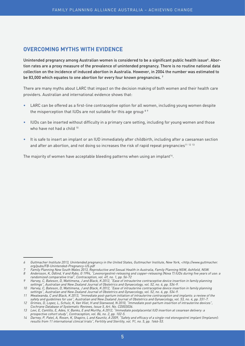# **Overcoming myths with evidence**

Unintended pregnancy among Australian women is considered to be a significant public health issue<sup>6</sup>. Abortion rates are a proxy measure of the prevalence of unintended pregnancy. There is no routine national data collection on the incidence of induced abortion in Australia. However, in 2004 the number was estimated to be 83,000 which equates to one abortion for every four known pregnancies.<sup>7</sup>

There are many myths about LARC that impact on the decision making of both women and their health care providers. Australian and international evidence shows that:

- LARC can be offered as a first-line contraceptive option for all women, including young women despite the misperception that IUDs are not suitable for this age group  $8.9$
- IUDs can be inserted without difficulty in a primary care setting, including for young women and those who have not had a child <sup>10</sup>
- It is safe to insert an implant or an IUD immediately after childbirth, including after a caesarean section and after an abortion, and not doing so increases the risk of rapid repeat pregnancies<sup>11 12</sup> 13

The majority of women have acceptable bleeding patterns when using an implant<sup>14</sup>.

<sup>6</sup> Guttmacher Institute 2013, Unintended pregnancy in the United States, Guttmacher Institute, New York, <http://www.guttmacher. org/pubs/FB-Unintended-Pregnancy-US.pdf

<sup>7</sup> Family Planning New South Wales 2013, Reproductive and Sexual Health in Australia, Family Planning NSW, Ashfield, NSW.

<sup>8</sup> Andersson, K, Odlind, V and Rybo, G 1994, "Levonorgestrel-releasing and copper-releasing (Nova T) IUDs during five years of use: a randomized comparative trial", Contraception, vol. 49, no. 1, pp. 56-72

<sup>9</sup> Harvey, C, Bateson, D, Wattimena, J and Black, K 2012, "Ease of intrauterine contraceptive device insertion in family planning settings", Australian and New Zealand Journal of Obstetrics and Gynaecology, vol. 52, no. 6, pp. 534-9.

<sup>10</sup> Harvey, C, Bateson, D, Wattimena, J and Black, K 2012, "Ease of intrauterine contraceptive device insertion in family planning settings", Australian and New Zealand Journal of Obstetrics and Gynaecology, vol. 52, no. 6, pp. 534-9.

<sup>11</sup> Mwalwanda, C and Black, K 2013, "Immediate post-partum initiation of intrauterine contraception and implants: a review of the safety and guidelines for use", Australian and New Zealand Journal of Obstetrics and Gynaecology, vol. 53, no. 4, pp. 331-7.

<sup>12</sup> Grimes, D, Lopez, L, Schulz, K, Van Vliet, H and Stanwood, N 2010, "Immediate post-partum insertion of intrauterine devices", Cochrane Database of Systematic Reviews, Issue 5, Art. No. CD003036.

<sup>13</sup> Levi, E, Cantillo, E, Ades, V, Banks, E and Murthy, A 2012, "Immediate postplacental IUD insertion at cesarean delivery: a prospective cohort study", Contraception, vol. 86, no. 2, pp. 102-5.

<sup>14</sup> Darney, P, Patel, A, Rosen, K, Shapiro, L and Kaunitz, A 2009, "Safety and efficacy of a single-rod etonogestrel implant (Implanon): results from 11 international clinical trials", Fertility and Sterility, vol. 91, no. 5, pp. 1646-53.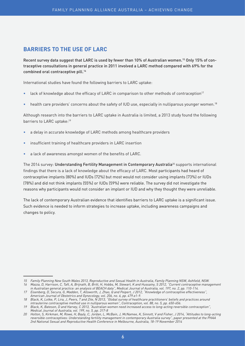# **Barriers to the use of LARC**

Recent survey data suggest that LARC is used by fewer than 10% of Australian women.15 Only 15% of contraceptive consultations in general practice in 2011 involved a LARC method compared with 69% for the combined oral contraceptive pill.<sup>16</sup>

International studies have found the following barriers to LARC uptake:

- lack of knowledge about the efficacy of LARC in comparison to other methods of contraception<sup>17</sup>
- health care providers' concerns about the safety of IUD use, especially in nulliparous younger women.<sup>18</sup>

Although research into the barriers to LARC uptake in Australia is limited, a 2013 study found the following barriers to LARC uptake:<sup>19</sup>

- a delay in accurate knowledge of LARC methods among healthcare providers
- insufficient training of healthcare providers in LARC insertion
- a lack of awareness amongst women of the benefits of LARC.

The 2014 survey: Understanding Fertility Management in Contemporary Australia<sup>20</sup> supports international findings that there is a lack of knowledge about the efficacy of LARC. Most participants had heard of contraceptive implants (80%) and IUDs (72%) but most would not consider using implants (73%) or IUDs (78%) and did not think implants (55%) or IUDs (59%) were reliable. The survey did not investigate the reasons why participants would not consider an implant or IUD and why they thought they were unreliable.

The lack of contemporary Australian evidence that identifies barriers to LARC uptake is a significant issue. Such evidence is needed to inform strategies to increase uptake, including awareness campaigns and changes to policy.

<sup>15</sup> Family Planning New South Wales 2013, Reproductive and Sexual Health in Australia, Family Planning NSW, Ashfield, NSW.

<sup>16</sup> Mazza, D, Harrison, C, Taft, A, Brijnath, B, Britt, H, Hobbs, M, Stewart, K and Hussainy, S 2012, "Current contraceptive management in Australian general practice: an analysis of BEACH data", Medical Journal of Australia, vol. 197, no. 2, pp. 110-114.

<sup>17</sup> Eisenberg, D, Secura, G, Madden, T, Allsworth, J, Zhao, Q and Peipert, J 2012, "Knowledge of contraceptive effectiveness", American Journal of Obstetrics and Gynecology, vol. 206, no. 6, pp. 479.e1-9.

<sup>18</sup> Black, K, Lotke, P, Lira, J, Peers, T and Zite, N 2013, "Global survey of healthcare practitioners' beliefs and practices around intrauterine contraceptive method use in nulliparous women", Contraception, vol. 88, no. 5, pp. 650-656.

<sup>19</sup> Black, K, Bateson, D and Harvey, C 2013, "Australian women need increased access to long-acting reversible contraception", Medical Journal of Australia, vol. 199, no. 5, pp. 317-8

<sup>20</sup> Holton, S, Kirkman, M, Rowe, H, Bayly, C, Jordan, L, McBain, J, McNamee, K, Sinnott, V and Fisher, J 2014, "Attitudes to long-acting reversible contraceptives: Understanding fertility management in contemporary Australia survey", paper presented at the PHAA 2nd National Sexual and Reproductive Health Conference in Melbourne, Australia, 18-19 November 2014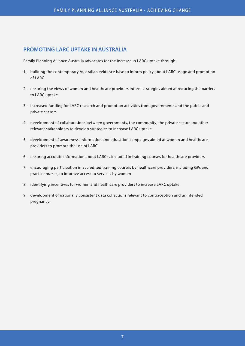# **PROMOTING LARC UPTAKE IN AUSTRALIA**

Family Planning Alliance Australia advocates for the increase in LARC uptake through:

- 1. building the contemporary Australian evidence base to inform policy about LARC usage and promotion of LARC
- 2. ensuring the views of women and healthcare providers inform strategies aimed at reducing the barriers to LARC uptake
- 3. increased funding for LARC research and promotion activities from governments and the public and private sectors
- 4. development of collaborations between governments, the community, the private sector and other relevant stakeholders to develop strategies to increase LARC uptake
- 5. development of awareness, information and education campaigns aimed at women and healthcare providers to promote the use of LARC
- 6. ensuring accurate information about LARC is included in training courses for healthcare providers
- 7. encouraging participation in accredited training courses by healthcare providers, including GPs and practice nurses, to improve access to services by women
- 8. identifying incentives for women and healthcare providers to increase LARC uptake
- 9. development of nationally consistent data collections relevant to contraception and unintended pregnancy.